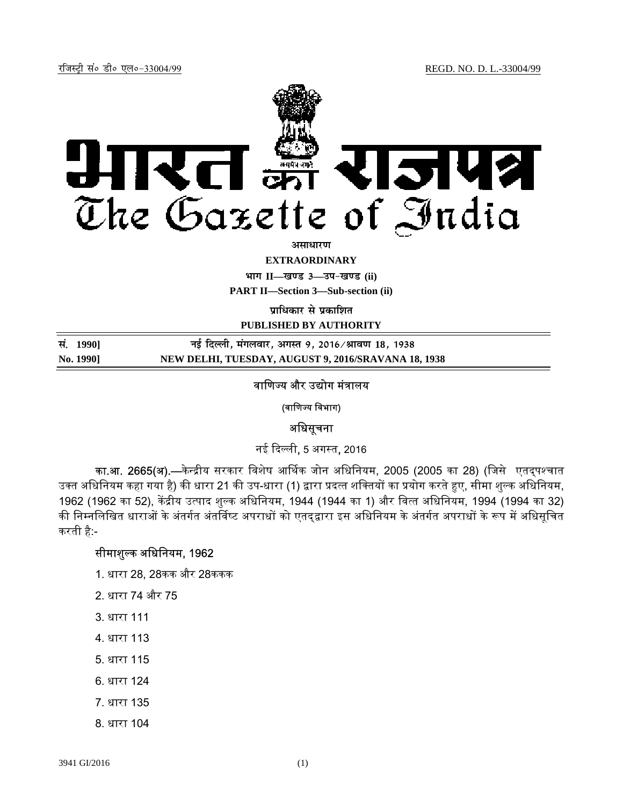

<u>असाधारण</u>

**EXTRAORDINARY**

**Hkkx II—[k.M 3—mi&[k.M (ii)**

**PART II—Section 3—Sub-section (ii)** 

**पाधिकार से प्रकाशित** 

**PUBLISHED BY AUTHORITY**

**la- 1990] ubZ fnYyh] eaxyokj] vxLr 9] 2016@Jko.k 18] 1938 No. 1990] NEW DELHI, TUESDAY, AUGUST 9, 2016/SRAVANA 18, 1938**

#### वाणिज्य और उद्योग मंत्रालय

(वाणिज्य विभाग)

#### अधिसूचना

नई ᳰद᭨ ली, 5 अग᭭त, 2016

का.आ. 2665(अ).—केन्द्रीय सरकार विशेष आर्थिक जोन अधिनियम, 2005 (2005 का 28) (जिसे एतद्पश्चात उक्त अधिनियम कहा गया है) की धारा 21 की उप-धारा (1) द्वारा प्रदत्त शक्तियों का प्रयोग करते हुए, सीमा शुल्क अधिनियम, 1962 (1962 का 52), केंद्रीय उत्पाद शुल्क अधिनियम, 1944 (1944 का 1) और वित्त अधिनियम, 1994 (1994 का 32) की निम्नलिखित धाराओं के अंतर्गत अंतर्विष्ट अपराधों को एतद्द्वारा इस अधिनियम के अंतर्गत अपराधों के रूप में अधिसूचित करती है:-

## सीमाशुल्क अधिनियम, 1962

- 1. धारा 28, 28कक और 28ककक
- 2. धारा 74 और 75
- 3. धारा 111
- 4. धारा 113
- 5. धारा 115
- 6. धारा 124
- 7. धारा 135
- 8. धारा 104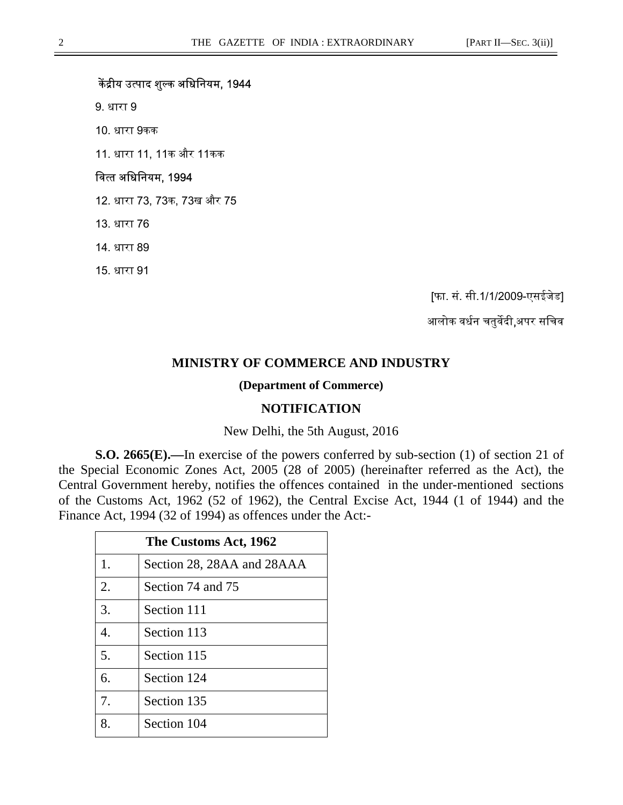# केंद्रीय उत्पाद शुल्क अधिनियम, 1944

9. धारा 9

10. धारा 9कक

11. धारा 11, 11क और 11कक

#### वित्त अधिनियम, 1994

12. धारा 73, 73क, 73ख और 75

13. धारा 76

14. धारा 89

15. धारा 91

[फा. सं. सी.1/1/2009-एसईजेड]

आलोक वर्धन चतुर्वेदी,अपर सचिव

## **MINISTRY OF COMMERCE AND INDUSTRY**

#### **(Department of Commerce)**

### **NOTIFICATION**

#### New Delhi, the 5th August, 2016

**S.O. 2665(E).—**In exercise of the powers conferred by sub-section (1) of section 21 of the Special Economic Zones Act, 2005 (28 of 2005) (hereinafter referred as the Act), the Central Government hereby, notifies the offences contained in the under-mentioned sections of the Customs Act, 1962 (52 of 1962), the Central Excise Act, 1944 (1 of 1944) and the Finance Act, 1994 (32 of 1994) as offences under the Act:-

| The Customs Act, 1962 |                            |
|-----------------------|----------------------------|
| 1.                    | Section 28, 28AA and 28AAA |
| 2.                    | Section 74 and 75          |
| 3.                    | Section 111                |
| $\overline{4}$ .      | Section 113                |
| 5.                    | Section 115                |
| 6.                    | Section 124                |
| 7.                    | Section 135                |
| 8.                    | Section 104                |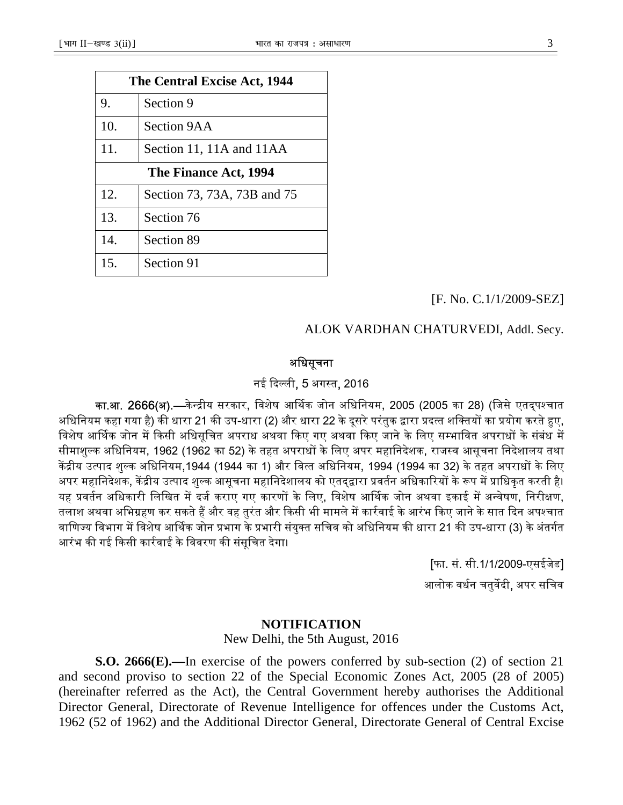| The Central Excise Act, 1944 |                             |
|------------------------------|-----------------------------|
| 9.                           | Section 9                   |
| 10.                          | Section 9AA                 |
| 11.                          | Section 11, 11A and 11AA    |
| The Finance Act, 1994        |                             |
| 12.                          | Section 73, 73A, 73B and 75 |
| 13.                          | Section 76                  |
| 14.                          | Section 89                  |
| 15.                          | Section 91                  |

# [F. No. C.1/1/2009-SEZ]

## ALOK VARDHAN CHATURVEDI, Addl. Secy.

# अधिसूचना

# नई दिल्ली, 5 अगस्त, 2016

का.<mark>आ. 2666(अ).—</mark>केन्द्रीय सरकार, विशेष आर्थिक जोन अधिनियम, 2005 (2005 का 28) (जिसे एतदपश्चात अधिनियम कहा गया है) की धारा 21 की उप-धारा (2) और धारा 22 के दूसरे परंतुक द्वारा प्रदत्त शक्तियों का प्रयोग करते हए, विशेष आर्थिक जोन में किसी अधिसूचित अपराध अथवा किए गए अथवा किए जाने के लिए सम्भावित अपराधों के संबंध में सीमाशुल्क अधिनियम, 1962 (1962 का 52) के तहत अपराधों के लिए अपर महानिदेशक, राजस्व आसूचना निदेशालय तथा केंद्रीय उत्पाद शुल्क अधिनियम,1944 (1944 का 1) और वित्त अधिनियम, 1994 (1994 का 32) के तहत अपराधों के लिए अपर महानिदेशक, केंद्रीय उत्पाद शुल्क आसूचना महानिदेशालय को एतदृद्वारा प्रवर्तन अधिकारियों के रूप में प्राधिकृत करती है। यह प्रवर्तन अधिकारी लिखित में दर्ज कराए गए कारणों के लिए, विशेष आर्थिक जोन अथवा इकाई में अन्वेषण, निरीक्षण, तलाश अथवा अभिग्रहण कर सकते हैं और वह तुरंत और किसी भी मामले में कार्रवाई के आरंभ किए जाने के सात दिन अपश्चात वाणिज्य विभाग में विशेष आर्थिक जोन प्रभाग के प्रभारी संयुक्त सचिव को अधिनियम की धारा 21 की उप-धारा (3) के अंतर्गत आरंभ की गई किसी कार्रवाई के विवरण की संसुचित देगा।

> [फा. सं. सी.1/1/2009-एसईजेड] आलोक वर्धन चतुर्वेदी, अपर सचिव

#### **NOTIFICATION**

New Delhi, the 5th August, 2016

**S.O. 2666(E).—**In exercise of the powers conferred by sub-section (2) of section 21 and second proviso to section 22 of the Special Economic Zones Act, 2005 (28 of 2005) (hereinafter referred as the Act), the Central Government hereby authorises the Additional Director General, Directorate of Revenue Intelligence for offences under the Customs Act, 1962 (52 of 1962) and the Additional Director General, Directorate General of Central Excise